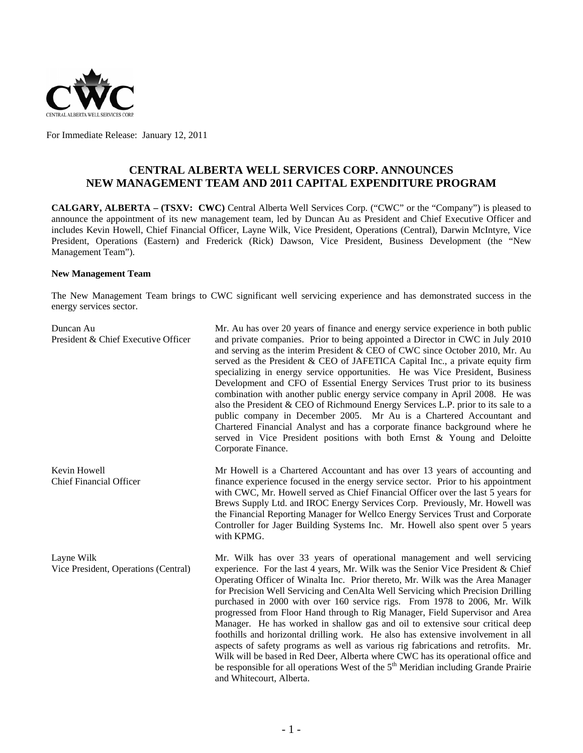

For Immediate Release: January 12, 2011

# **CENTRAL ALBERTA WELL SERVICES CORP. ANNOUNCES NEW MANAGEMENT TEAM AND 2011 CAPITAL EXPENDITURE PROGRAM**

**CALGARY, ALBERTA – (TSXV: CWC)** Central Alberta Well Services Corp. ("CWC" or the "Company") is pleased to announce the appointment of its new management team, led by Duncan Au as President and Chief Executive Officer and includes Kevin Howell, Chief Financial Officer, Layne Wilk, Vice President, Operations (Central), Darwin McIntyre, Vice President, Operations (Eastern) and Frederick (Rick) Dawson, Vice President, Business Development (the "New Management Team").

#### **New Management Team**

The New Management Team brings to CWC significant well servicing experience and has demonstrated success in the energy services sector.

| Duncan Au<br>President & Chief Executive Officer   | Mr. Au has over 20 years of finance and energy service experience in both public<br>and private companies. Prior to being appointed a Director in CWC in July 2010<br>and serving as the interim President & CEO of CWC since October 2010, Mr. Au<br>served as the President & CEO of JAFETICA Capital Inc., a private equity firm<br>specializing in energy service opportunities. He was Vice President, Business<br>Development and CFO of Essential Energy Services Trust prior to its business<br>combination with another public energy service company in April 2008. He was<br>also the President & CEO of Richmound Energy Services L.P. prior to its sale to a<br>public company in December 2005. Mr Au is a Chartered Accountant and<br>Chartered Financial Analyst and has a corporate finance background where he<br>served in Vice President positions with both Ernst & Young and Deloitte<br>Corporate Finance.                                           |
|----------------------------------------------------|-----------------------------------------------------------------------------------------------------------------------------------------------------------------------------------------------------------------------------------------------------------------------------------------------------------------------------------------------------------------------------------------------------------------------------------------------------------------------------------------------------------------------------------------------------------------------------------------------------------------------------------------------------------------------------------------------------------------------------------------------------------------------------------------------------------------------------------------------------------------------------------------------------------------------------------------------------------------------------|
| Kevin Howell<br><b>Chief Financial Officer</b>     | Mr Howell is a Chartered Accountant and has over 13 years of accounting and<br>finance experience focused in the energy service sector. Prior to his appointment<br>with CWC, Mr. Howell served as Chief Financial Officer over the last 5 years for<br>Brews Supply Ltd. and IROC Energy Services Corp. Previously, Mr. Howell was<br>the Financial Reporting Manager for Wellco Energy Services Trust and Corporate<br>Controller for Jager Building Systems Inc. Mr. Howell also spent over 5 years<br>with KPMG.                                                                                                                                                                                                                                                                                                                                                                                                                                                        |
| Layne Wilk<br>Vice President, Operations (Central) | Mr. Wilk has over 33 years of operational management and well servicing<br>experience. For the last 4 years, Mr. Wilk was the Senior Vice President & Chief<br>Operating Officer of Winalta Inc. Prior thereto, Mr. Wilk was the Area Manager<br>for Precision Well Servicing and CenAlta Well Servicing which Precision Drilling<br>purchased in 2000 with over 160 service rigs. From 1978 to 2006, Mr. Wilk<br>progressed from Floor Hand through to Rig Manager, Field Supervisor and Area<br>Manager. He has worked in shallow gas and oil to extensive sour critical deep<br>foothills and horizontal drilling work. He also has extensive involvement in all<br>aspects of safety programs as well as various rig fabrications and retrofits. Mr.<br>Wilk will be based in Red Deer, Alberta where CWC has its operational office and<br>be responsible for all operations West of the 5 <sup>th</sup> Meridian including Grande Prairie<br>and Whitecourt, Alberta. |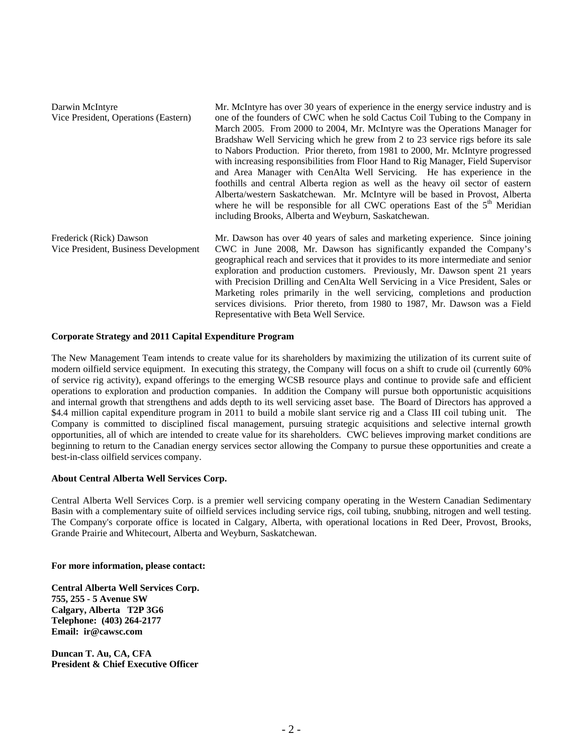| Darwin McIntyre                      | Mr. McIntyre has over 30 years of experience in the energy service industry and is   |
|--------------------------------------|--------------------------------------------------------------------------------------|
| Vice President, Operations (Eastern) | one of the founders of CWC when he sold Cactus Coil Tubing to the Company in         |
|                                      | March 2005. From 2000 to 2004, Mr. McIntyre was the Operations Manager for           |
|                                      | Bradshaw Well Servicing which he grew from 2 to 23 service rigs before its sale      |
|                                      | to Nabors Production. Prior thereto, from 1981 to 2000, Mr. McIntyre progressed      |
|                                      | with increasing responsibilities from Floor Hand to Rig Manager, Field Supervisor    |
|                                      | and Area Manager with CenAlta Well Servicing. He has experience in the               |
|                                      | foothills and central Alberta region as well as the heavy oil sector of eastern      |
|                                      | Alberta/western Saskatchewan. Mr. McIntyre will be based in Provost, Alberta         |
|                                      | where he will be responsible for all CWC operations East of the $5th$ Meridian       |
|                                      | including Brooks, Alberta and Weyburn, Saskatchewan.                                 |
| Frederick (Rick) Dawson              | Mr. Dawson has over 40 years of sales and marketing experience. Since joining        |
| Vice President, Business Development | CWC in June 2008, Mr. Dawson has significantly expanded the Company's                |
|                                      | geographical reach and services that it provides to its more intermediate and senior |
|                                      | exploration and production customers. Previously, Mr. Dawson spent 21 years          |
|                                      | with Precision Drilling and CenAlta Well Servicing in a Vice President, Sales or     |
|                                      | Marketing roles primarily in the well servicing, completions and production          |
|                                      | services divisions. Prior thereto, from 1980 to 1987, Mr. Dawson was a Field         |
|                                      | Representative with Beta Well Service.                                               |

#### **Corporate Strategy and 2011 Capital Expenditure Program**

The New Management Team intends to create value for its shareholders by maximizing the utilization of its current suite of modern oilfield service equipment. In executing this strategy, the Company will focus on a shift to crude oil (currently 60% of service rig activity), expand offerings to the emerging WCSB resource plays and continue to provide safe and efficient operations to exploration and production companies. In addition the Company will pursue both opportunistic acquisitions and internal growth that strengthens and adds depth to its well servicing asset base. The Board of Directors has approved a \$4.4 million capital expenditure program in 2011 to build a mobile slant service rig and a Class III coil tubing unit. The Company is committed to disciplined fiscal management, pursuing strategic acquisitions and selective internal growth opportunities, all of which are intended to create value for its shareholders. CWC believes improving market conditions are beginning to return to the Canadian energy services sector allowing the Company to pursue these opportunities and create a best-in-class oilfield services company.

## **About Central Alberta Well Services Corp.**

Central Alberta Well Services Corp. is a premier well servicing company operating in the Western Canadian Sedimentary Basin with a complementary suite of oilfield services including service rigs, coil tubing, snubbing, nitrogen and well testing. The Company's corporate office is located in Calgary, Alberta, with operational locations in Red Deer, Provost, Brooks, Grande Prairie and Whitecourt, Alberta and Weyburn, Saskatchewan.

### **For more information, please contact:**

**Central Alberta Well Services Corp. 755, 255 - 5 Avenue SW Calgary, Alberta T2P 3G6 Telephone: (403) 264-2177 Email: ir@cawsc.com** 

**Duncan T. Au, CA, CFA President & Chief Executive Officer**